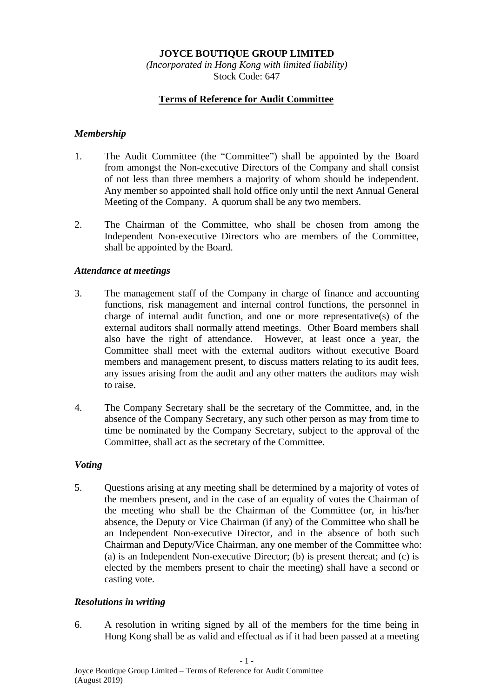# **JOYCE BOUTIQUE GROUP LIMITED**

*(Incorporated in Hong Kong with limited liability)* Stock Code: 647

## **Terms of Reference for Audit Committee**

#### *Membership*

- 1. The Audit Committee (the "Committee") shall be appointed by the Board from amongst the Non-executive Directors of the Company and shall consist of not less than three members a majority of whom should be independent. Any member so appointed shall hold office only until the next Annual General Meeting of the Company. A quorum shall be any two members.
- 2. The Chairman of the Committee, who shall be chosen from among the Independent Non-executive Directors who are members of the Committee, shall be appointed by the Board.

#### *Attendance at meetings*

- 3. The management staff of the Company in charge of finance and accounting functions, risk management and internal control functions, the personnel in charge of internal audit function, and one or more representative(s) of the external auditors shall normally attend meetings. Other Board members shall also have the right of attendance. However, at least once a year, the Committee shall meet with the external auditors without executive Board members and management present, to discuss matters relating to its audit fees, any issues arising from the audit and any other matters the auditors may wish to raise.
- 4. The Company Secretary shall be the secretary of the Committee, and, in the absence of the Company Secretary, any such other person as may from time to time be nominated by the Company Secretary, subject to the approval of the Committee, shall act as the secretary of the Committee.

### *Voting*

5. Questions arising at any meeting shall be determined by a majority of votes of the members present, and in the case of an equality of votes the Chairman of the meeting who shall be the Chairman of the Committee (or, in his/her absence, the Deputy or Vice Chairman (if any) of the Committee who shall be an Independent Non-executive Director, and in the absence of both such Chairman and Deputy/Vice Chairman, any one member of the Committee who: (a) is an Independent Non-executive Director; (b) is present thereat; and (c) is elected by the members present to chair the meeting) shall have a second or casting vote.

### *Resolutions in writing*

6. A resolution in writing signed by all of the members for the time being in Hong Kong shall be as valid and effectual as if it had been passed at a meeting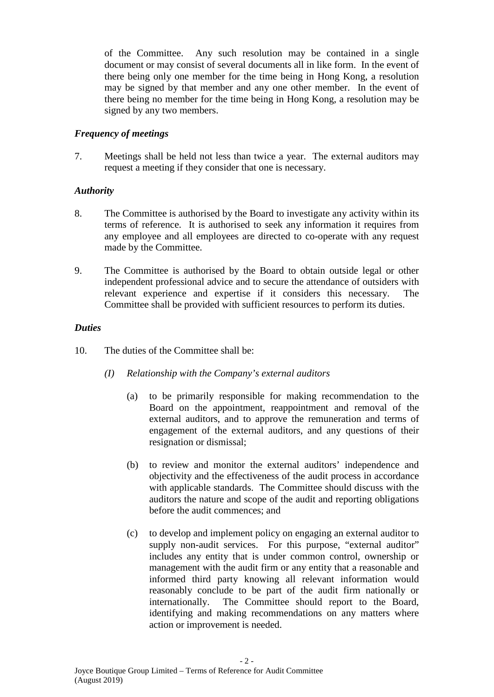of the Committee. Any such resolution may be contained in a single document or may consist of several documents all in like form. In the event of there being only one member for the time being in Hong Kong, a resolution may be signed by that member and any one other member. In the event of there being no member for the time being in Hong Kong, a resolution may be signed by any two members.

# *Frequency of meetings*

7. Meetings shall be held not less than twice a year. The external auditors may request a meeting if they consider that one is necessary.

# *Authority*

- 8. The Committee is authorised by the Board to investigate any activity within its terms of reference. It is authorised to seek any information it requires from any employee and all employees are directed to co-operate with any request made by the Committee.
- 9. The Committee is authorised by the Board to obtain outside legal or other independent professional advice and to secure the attendance of outsiders with relevant experience and expertise if it considers this necessary. The Committee shall be provided with sufficient resources to perform its duties.

## *Duties*

- 10. The duties of the Committee shall be:
	- *(I) Relationship with the Company's external auditors*
		- (a) to be primarily responsible for making recommendation to the Board on the appointment, reappointment and removal of the external auditors, and to approve the remuneration and terms of engagement of the external auditors, and any questions of their resignation or dismissal;
		- (b) to review and monitor the external auditors' independence and objectivity and the effectiveness of the audit process in accordance with applicable standards. The Committee should discuss with the auditors the nature and scope of the audit and reporting obligations before the audit commences; and
		- (c) to develop and implement policy on engaging an external auditor to supply non-audit services. For this purpose, "external auditor" includes any entity that is under common control, ownership or management with the audit firm or any entity that a reasonable and informed third party knowing all relevant information would reasonably conclude to be part of the audit firm nationally or internationally. The Committee should report to the Board, identifying and making recommendations on any matters where action or improvement is needed.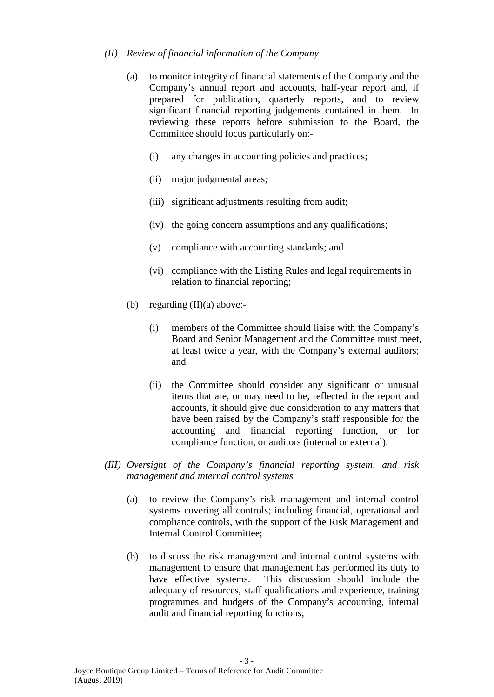### *(II) Review of financial information of the Company*

- (a) to monitor integrity of financial statements of the Company and the Company's annual report and accounts, half-year report and, if prepared for publication, quarterly reports, and to review significant financial reporting judgements contained in them. In reviewing these reports before submission to the Board, the Committee should focus particularly on:-
	- (i) any changes in accounting policies and practices;
	- (ii) major judgmental areas;
	- (iii) significant adjustments resulting from audit;
	- (iv) the going concern assumptions and any qualifications;
	- (v) compliance with accounting standards; and
	- (vi) compliance with the Listing Rules and legal requirements in relation to financial reporting;
- (b) regarding  $(II)(a)$  above:-
	- (i) members of the Committee should liaise with the Company's Board and Senior Management and the Committee must meet, at least twice a year, with the Company's external auditors; and
	- (ii) the Committee should consider any significant or unusual items that are, or may need to be, reflected in the report and accounts, it should give due consideration to any matters that have been raised by the Company's staff responsible for the accounting and financial reporting function, or for compliance function, or auditors (internal or external).
- *(III) Oversight of the Company's financial reporting system, and risk management and internal control systems*
	- (a) to review the Company's risk management and internal control systems covering all controls; including financial, operational and compliance controls, with the support of the Risk Management and Internal Control Committee;
	- (b) to discuss the risk management and internal control systems with management to ensure that management has performed its duty to have effective systems. This discussion should include the adequacy of resources, staff qualifications and experience, training programmes and budgets of the Company's accounting, internal audit and financial reporting functions;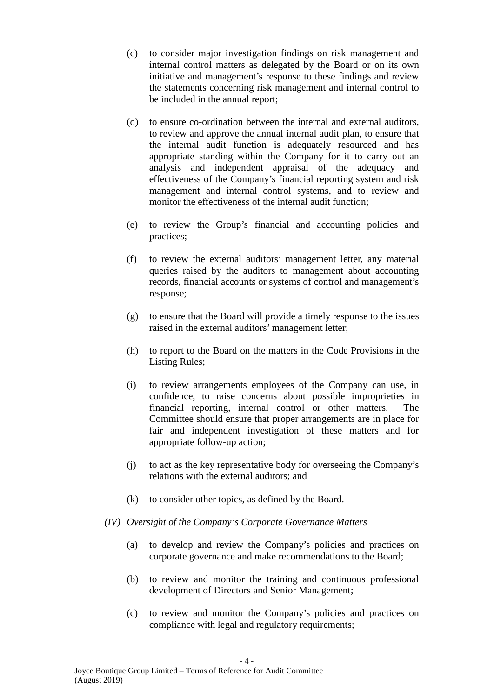- (c) to consider major investigation findings on risk management and internal control matters as delegated by the Board or on its own initiative and management's response to these findings and review the statements concerning risk management and internal control to be included in the annual report;
- (d) to ensure co-ordination between the internal and external auditors, to review and approve the annual internal audit plan, to ensure that the internal audit function is adequately resourced and has appropriate standing within the Company for it to carry out an analysis and independent appraisal of the adequacy and effectiveness of the Company's financial reporting system and risk management and internal control systems, and to review and monitor the effectiveness of the internal audit function;
- (e) to review the Group's financial and accounting policies and practices;
- (f) to review the external auditors' management letter, any material queries raised by the auditors to management about accounting records, financial accounts or systems of control and management's response;
- (g) to ensure that the Board will provide a timely response to the issues raised in the external auditors' management letter;
- (h) to report to the Board on the matters in the Code Provisions in the Listing Rules;
- (i) to review arrangements employees of the Company can use, in confidence, to raise concerns about possible improprieties in financial reporting, internal control or other matters. The Committee should ensure that proper arrangements are in place for fair and independent investigation of these matters and for appropriate follow-up action;
- (j) to act as the key representative body for overseeing the Company's relations with the external auditors; and
- (k) to consider other topics, as defined by the Board.
- *(IV) Oversight of the Company's Corporate Governance Matters*
	- (a) to develop and review the Company's policies and practices on corporate governance and make recommendations to the Board;
	- (b) to review and monitor the training and continuous professional development of Directors and Senior Management;
	- (c) to review and monitor the Company's policies and practices on compliance with legal and regulatory requirements;